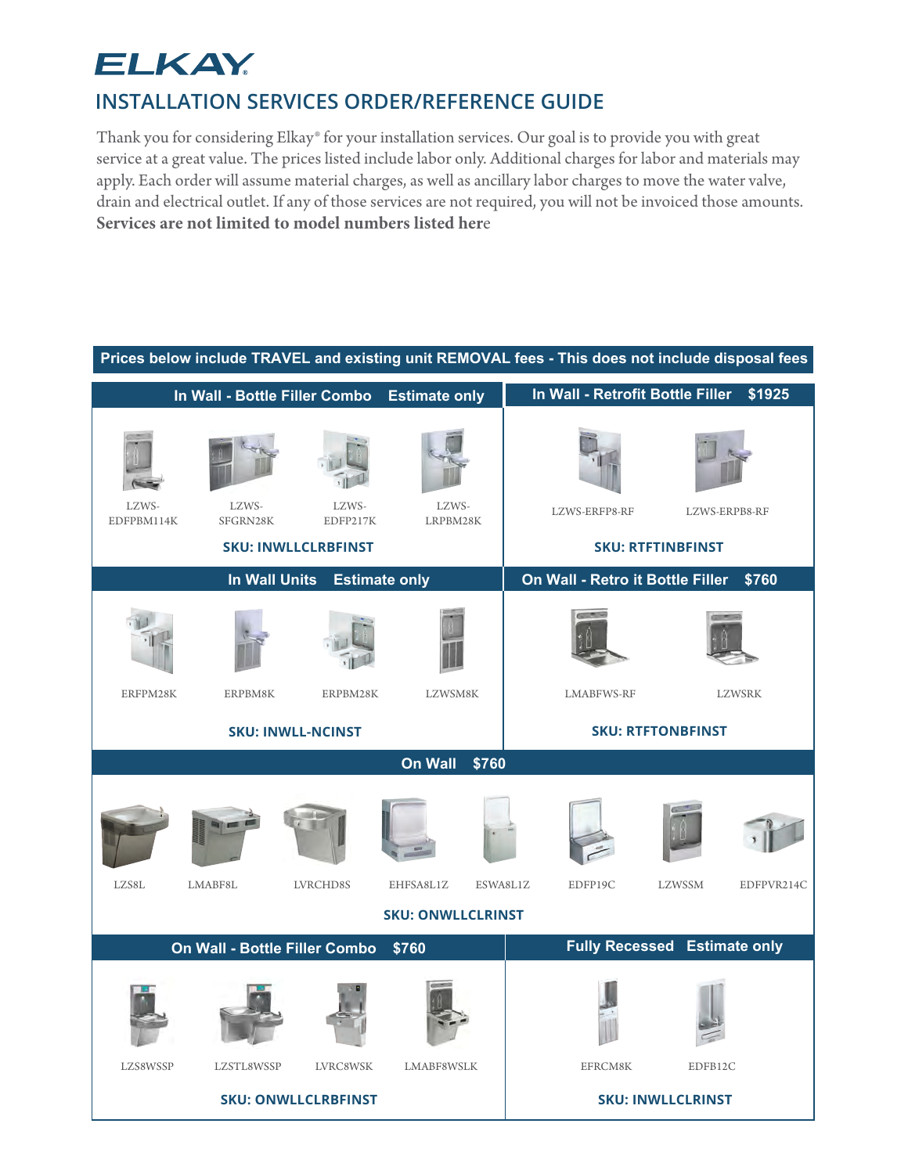# **ELKAY**

## **INSTALLATION SERVICES ORDER/REFERENCE GUIDE**

Thank you for considering Elkay® for your installation services. Our goal is to provide you with great service at a great value. The prices listed include labor only. Additional charges for labor and materials may apply. Each order will assume material charges, as well as ancillary labor charges to move the water valve, drain and electrical outlet. If any of those services are not required, you will not be invoiced those amounts. **Services are not limited to model numbers listed her**e

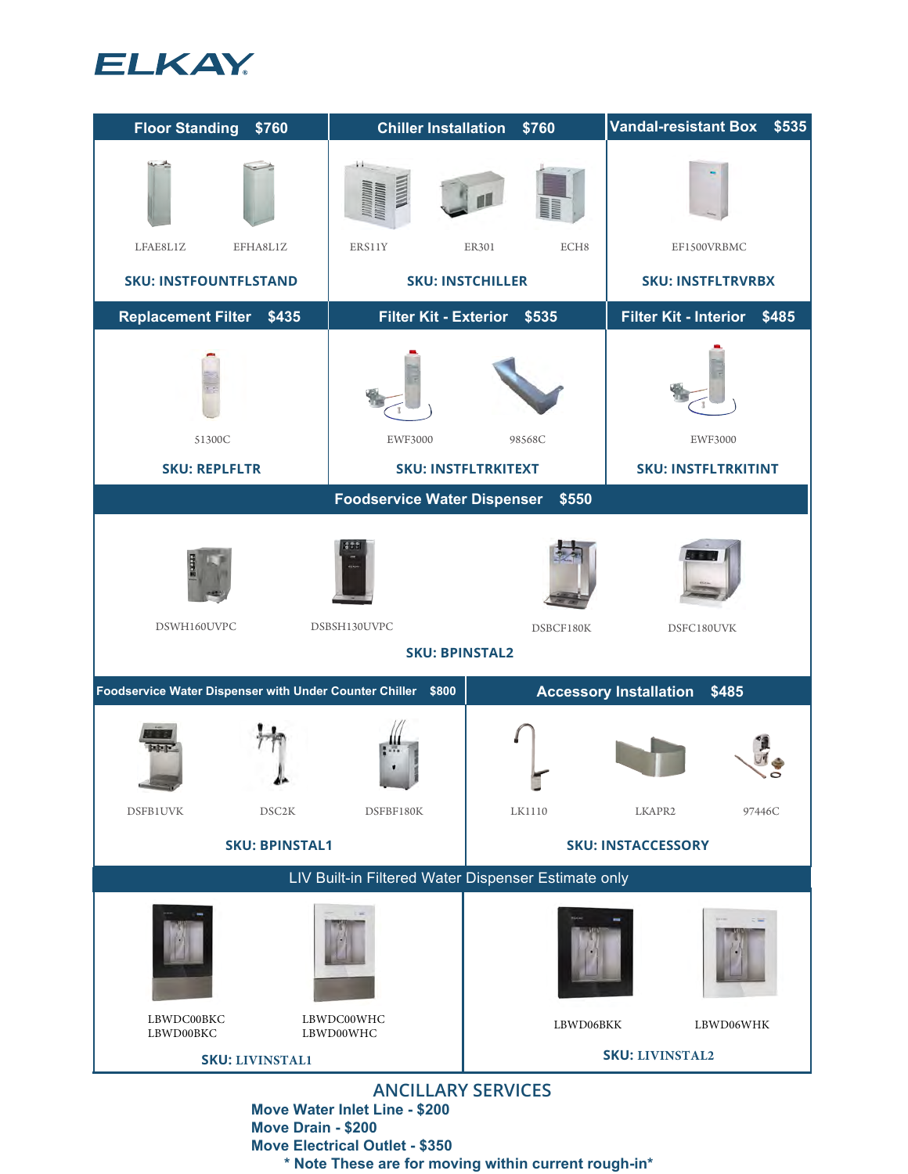



**Move Water Inlet Line - \$200 Move Drain - \$200 Move Electrical Outlet - \$350 \* Note These are for moving within current rough-in\***